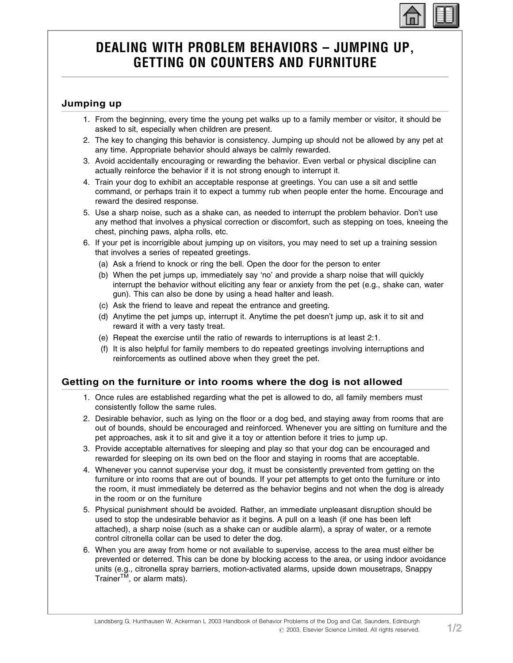# DEALING WITH PROBLEM BEHAVIORS – JUMPING UP, GETTING ON COUNTERS AND FURNITURE

#### Jumping up

- 1. From the beginning, every time the young pet walks up to a family member or visitor, it should be asked to sit, especially when children are present.
- 2. The key to changing this behavior is consistency. Jumping up should not be allowed by any pet at any time. Appropriate behavior should always be calmly rewarded.
- 3. Avoid accidentally encouraging or rewarding the behavior. Even verbal or physical discipline can actually reinforce the behavior if it is not strong enough to interrupt it.
- 4. Train your dog to exhibit an acceptable response at greetings. You can use a sit and settle command, or perhaps train it to expect a tummy rub when people enter the home. Encourage and reward the desired response.
- 5. Use a sharp noise, such as a shake can, as needed to interrupt the problem behavior. Don't use any method that involves a physical correction or discomfort, such as stepping on toes, kneeing the chest, pinching paws, alpha rolls, etc.
- 6. If your pet is incorrigible about jumping up on visitors, you may need to set up a training session that involves a series of repeated greetings.
	- (a) Ask a friend to knock or ring the bell. Open the door for the person to enter
	- (b) When the pet jumps up, immediately say 'no' and provide a sharp noise that will quickly interrupt the behavior without eliciting any fear or anxiety from the pet (e.g., shake can, water gun). This can also be done by using a head halter and leash.
	- (c) Ask the friend to leave and repeat the entrance and greeting.
	- (d) Anytime the pet jumps up, interrupt it. Anytime the pet doesn't jump up, ask it to sit and reward it with a very tasty treat.
	- (e) Repeat the exercise until the ratio of rewards to interruptions is at least 2:1.
	- (f) It is also helpful for family members to do repeated greetings involving interruptions and reinforcements as outlined above when they greet the pet.

### Getting on the furniture or into rooms where the dog is not allowed

- 1. Once rules are established regarding what the pet is allowed to do, all family members must consistently follow the same rules.
- 2. Desirable behavior, such as lying on the floor or a dog bed, and staying away from rooms that are out of bounds, should be encouraged and reinforced. Whenever you are sitting on furniture and the pet approaches, ask it to sit and give it a toy or attention before it tries to jump up.
- 3. Provide acceptable alternatives for sleeping and play so that your dog can be encouraged and rewarded for sleeping on its own bed on the floor and staying in rooms that are acceptable.
- 4. Whenever you cannot supervise your dog, it must be consistently prevented from getting on the furniture or into rooms that are out of bounds. If your pet attempts to get onto the furniture or into the room, it must immediately be deterred as the behavior begins and not when the dog is already in the room or on the furniture
- 5. Physical punishment should be avoided. Rather, an immediate unpleasant disruption should be used to stop the undesirable behavior as it begins. A pull on a leash (if one has been left attached), a sharp noise (such as a shake can or audible alarm), a spray of water, or a remote control citronella collar can be used to deter the dog.
- 6. When you are away from home or not available to supervise, access to the area must either be prevented or deterred. This can be done by blocking access to the area, or using indoor avoidance units (e.g., citronella spray barriers, motion-activated alarms, upside down mousetraps, Snappy Trainer<sup>TM</sup>, or alarm mats).